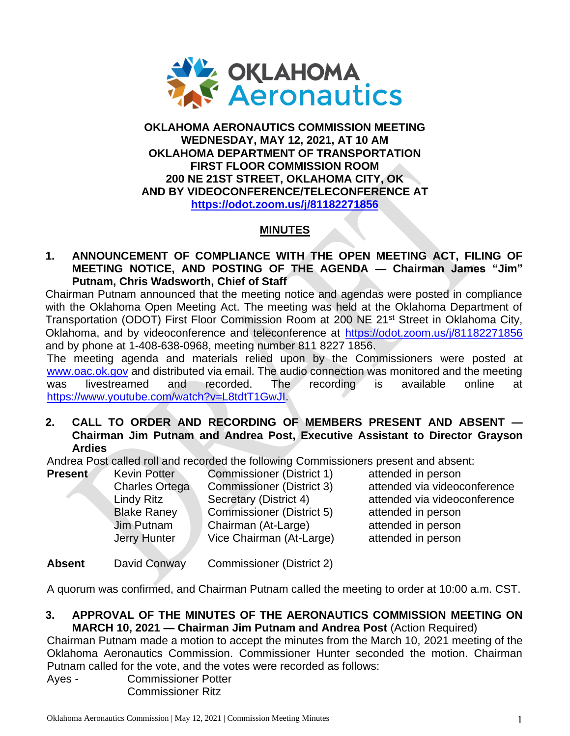

#### **OKLAHOMA AERONAUTICS COMMISSION MEETING WEDNESDAY, MAY 12, 2021, AT 10 AM OKLAHOMA DEPARTMENT OF TRANSPORTATION FIRST FLOOR COMMISSION ROOM 200 NE 21ST STREET, OKLAHOMA CITY, OK AND BY VIDEOCONFERENCE/TELECONFERENCE AT <https://odot.zoom.us/j/81182271856>**

# **MINUTES**

#### **1. ANNOUNCEMENT OF COMPLIANCE WITH THE OPEN MEETING ACT, FILING OF MEETING NOTICE, AND POSTING OF THE AGENDA — Chairman James "Jim" Putnam, Chris Wadsworth, Chief of Staff**

Chairman Putnam announced that the meeting notice and agendas were posted in compliance with the Oklahoma Open Meeting Act. The meeting was held at the Oklahoma Department of Transportation (ODOT) First Floor Commission Room at 200 NE 21<sup>st</sup> Street in Oklahoma City, Oklahoma, and by videoconference and teleconference at [https://odot.zoom.us/j/81182271856](https://odot.zoom.us/j/81182271856r) and by phone at 1-408-638-0968, meeting number 811 8227 1856.

The meeting agenda and materials relied upon by the Commissioners were posted at [www.oac.ok.gov](http://www.oac.ok.gov/) and distributed via email. The audio connection was monitored and the meeting was livestreamed and recorded. The recording is available online at [https://www.youtube.com/watch?v=L8tdtT1GwJI.](https://www.youtube.com/watch?v=L8tdtT1GwJI)

## **2. CALL TO ORDER AND RECORDING OF MEMBERS PRESENT AND ABSENT — Chairman Jim Putnam and Andrea Post, Executive Assistant to Director Grayson Ardies**

Andrea Post called roll and recorded the following Commissioners present and absent:

| <b>Present</b> | <b>Kevin Potter</b>   | <b>Commissioner (District 1</b> |
|----------------|-----------------------|---------------------------------|
|                | <b>Charles Ortega</b> | <b>Commissioner (District 3</b> |
|                | <b>Lindy Ritz</b>     | Secretary (District 4)          |
|                | <b>Blake Raney</b>    | <b>Commissioner (District 5</b> |
|                | Jim Putnam            | Chairman (At-Large)             |
|                | <b>Jerry Hunter</b>   | Vice Chairman (At-Large         |
|                |                       |                                 |

**Present Convict Console Conson** 3) attended via videoconference attended via videoconference 5) attended in person attended in person e) attended in person

**Absent** David Conway Commissioner (District 2)

A quorum was confirmed, and Chairman Putnam called the meeting to order at 10:00 a.m. CST.

#### **3. APPROVAL OF THE MINUTES OF THE AERONAUTICS COMMISSION MEETING ON MARCH 10, 2021 — Chairman Jim Putnam and Andrea Post** (Action Required)

Chairman Putnam made a motion to accept the minutes from the March 10, 2021 meeting of the Oklahoma Aeronautics Commission. Commissioner Hunter seconded the motion. Chairman Putnam called for the vote, and the votes were recorded as follows:

Ayes - Commissioner Potter Commissioner Ritz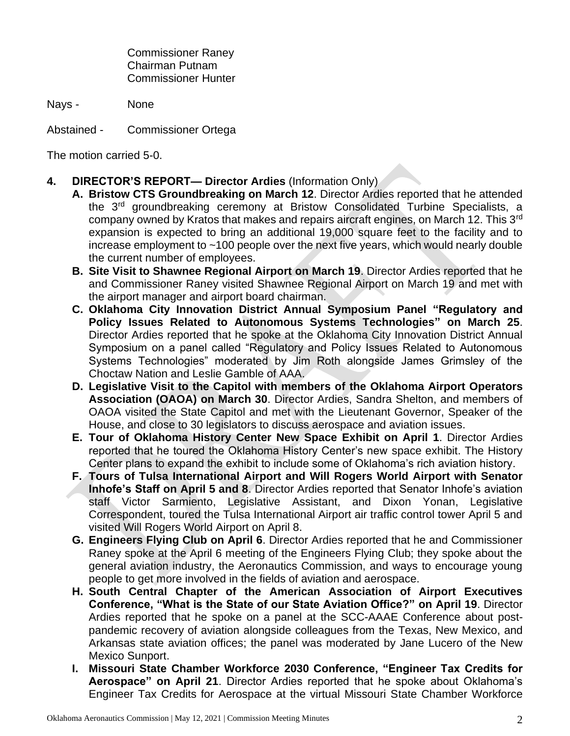Commissioner Raney Chairman Putnam Commissioner Hunter

Nays - None

Abstained - Commissioner Ortega

The motion carried 5-0.

- **4. DIRECTOR'S REPORT— Director Ardies** (Information Only)
	- **A. Bristow CTS Groundbreaking on March 12**. Director Ardies reported that he attended the 3rd groundbreaking ceremony at Bristow Consolidated Turbine Specialists, a company owned by Kratos that makes and repairs aircraft engines, on March 12. This 3<sup>rd</sup> expansion is expected to bring an additional 19,000 square feet to the facility and to increase employment to ~100 people over the next five years, which would nearly double the current number of employees.
		- **B. Site Visit to Shawnee Regional Airport on March 19**. Director Ardies reported that he and Commissioner Raney visited Shawnee Regional Airport on March 19 and met with the airport manager and airport board chairman.
		- **C. Oklahoma City Innovation District Annual Symposium Panel "Regulatory and Policy Issues Related to Autonomous Systems Technologies" on March 25**. Director Ardies reported that he spoke at the Oklahoma City Innovation District Annual Symposium on a panel called "Regulatory and Policy Issues Related to Autonomous Systems Technologies" moderated by Jim Roth alongside James Grimsley of the Choctaw Nation and Leslie Gamble of AAA.
		- **D. Legislative Visit to the Capitol with members of the Oklahoma Airport Operators Association (OAOA) on March 30**. Director Ardies, Sandra Shelton, and members of OAOA visited the State Capitol and met with the Lieutenant Governor, Speaker of the House, and close to 30 legislators to discuss aerospace and aviation issues.
		- **E. Tour of Oklahoma History Center New Space Exhibit on April 1**. Director Ardies reported that he toured the Oklahoma History Center's new space exhibit. The History Center plans to expand the exhibit to include some of Oklahoma's rich aviation history.
		- **F. Tours of Tulsa International Airport and Will Rogers World Airport with Senator Inhofe's Staff on April 5 and 8**. Director Ardies reported that Senator Inhofe's aviation staff Victor Sarmiento, Legislative Assistant, and Dixon Yonan, Legislative Correspondent, toured the Tulsa International Airport air traffic control tower April 5 and visited Will Rogers World Airport on April 8.
		- **G. Engineers Flying Club on April 6**. Director Ardies reported that he and Commissioner Raney spoke at the April 6 meeting of the Engineers Flying Club; they spoke about the general aviation industry, the Aeronautics Commission, and ways to encourage young people to get more involved in the fields of aviation and aerospace.
		- **H. South Central Chapter of the American Association of Airport Executives Conference, "What is the State of our State Aviation Office?" on April 19**. Director Ardies reported that he spoke on a panel at the SCC-AAAE Conference about postpandemic recovery of aviation alongside colleagues from the Texas, New Mexico, and Arkansas state aviation offices; the panel was moderated by Jane Lucero of the New Mexico Sunport.
		- **I. Missouri State Chamber Workforce 2030 Conference, "Engineer Tax Credits for Aerospace" on April 21**. Director Ardies reported that he spoke about Oklahoma's Engineer Tax Credits for Aerospace at the virtual Missouri State Chamber Workforce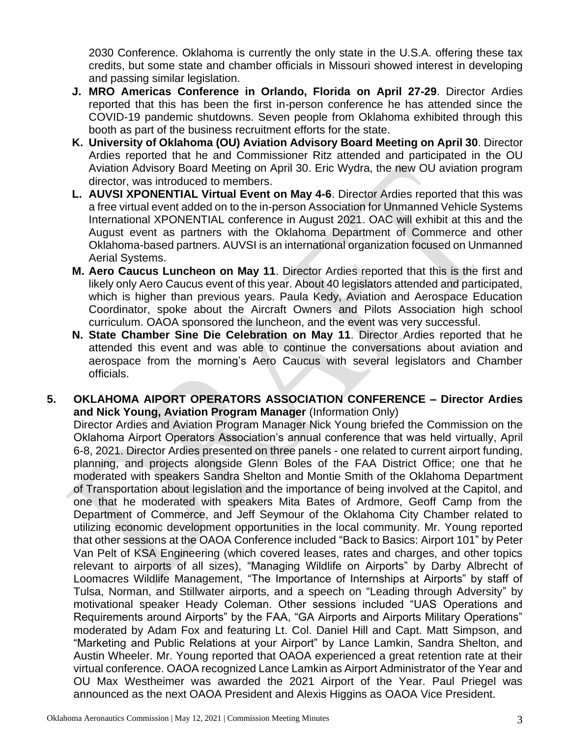2030 Conference. Oklahoma is currently the only state in the U.S.A. offering these tax credits, but some state and chamber officials in Missouri showed interest in developing and passing similar legislation.

- **J. MRO Americas Conference in Orlando, Florida on April 27-29**. Director Ardies reported that this has been the first in-person conference he has attended since the COVID-19 pandemic shutdowns. Seven people from Oklahoma exhibited through this booth as part of the business recruitment efforts for the state.
- **K. University of Oklahoma (OU) Aviation Advisory Board Meeting on April 30**. Director Ardies reported that he and Commissioner Ritz attended and participated in the OU Aviation Advisory Board Meeting on April 30. Eric Wydra, the new OU aviation program director, was introduced to members.
- **L. AUVSI XPONENTIAL Virtual Event on May 4-6**. Director Ardies reported that this was a free virtual event added on to the in-person Association for Unmanned Vehicle Systems International XPONENTIAL conference in August 2021. OAC will exhibit at this and the August event as partners with the Oklahoma Department of Commerce and other Oklahoma-based partners. AUVSI is an international organization focused on Unmanned Aerial Systems.
- **M. Aero Caucus Luncheon on May 11**. Director Ardies reported that this is the first and likely only Aero Caucus event of this year. About 40 legislators attended and participated, which is higher than previous years. Paula Kedy, Aviation and Aerospace Education Coordinator, spoke about the Aircraft Owners and Pilots Association high school curriculum. OAOA sponsored the luncheon, and the event was very successful.
- **N. State Chamber Sine Die Celebration on May 11**. Director Ardies reported that he attended this event and was able to continue the conversations about aviation and aerospace from the morning's Aero Caucus with several legislators and Chamber officials.
- **5. OKLAHOMA AIPORT OPERATORS ASSOCIATION CONFERENCE – Director Ardies and Nick Young, Aviation Program Manager** (Information Only)

Director Ardies and Aviation Program Manager Nick Young briefed the Commission on the Oklahoma Airport Operators Association's annual conference that was held virtually, April 6-8, 2021. Director Ardies presented on three panels - one related to current airport funding, planning, and projects alongside Glenn Boles of the FAA District Office; one that he moderated with speakers Sandra Shelton and Montie Smith of the Oklahoma Department of Transportation about legislation and the importance of being involved at the Capitol, and one that he moderated with speakers Mita Bates of Ardmore, Geoff Camp from the Department of Commerce, and Jeff Seymour of the Oklahoma City Chamber related to utilizing economic development opportunities in the local community. Mr. Young reported that other sessions at the OAOA Conference included "Back to Basics: Airport 101" by Peter Van Pelt of KSA Engineering (which covered leases, rates and charges, and other topics relevant to airports of all sizes), "Managing Wildlife on Airports" by Darby Albrecht of Loomacres Wildlife Management, "The Importance of Internships at Airports" by staff of Tulsa, Norman, and Stillwater airports, and a speech on "Leading through Adversity" by motivational speaker Heady Coleman. Other sessions included "UAS Operations and Requirements around Airports" by the FAA, "GA Airports and Airports Military Operations" moderated by Adam Fox and featuring Lt. Col. Daniel Hill and Capt. Matt Simpson, and "Marketing and Public Relations at your Airport" by Lance Lamkin, Sandra Shelton, and Austin Wheeler. Mr. Young reported that OAOA experienced a great retention rate at their virtual conference. OAOA recognized Lance Lamkin as Airport Administrator of the Year and OU Max Westheimer was awarded the 2021 Airport of the Year. Paul Priegel was announced as the next OAOA President and Alexis Higgins as OAOA Vice President.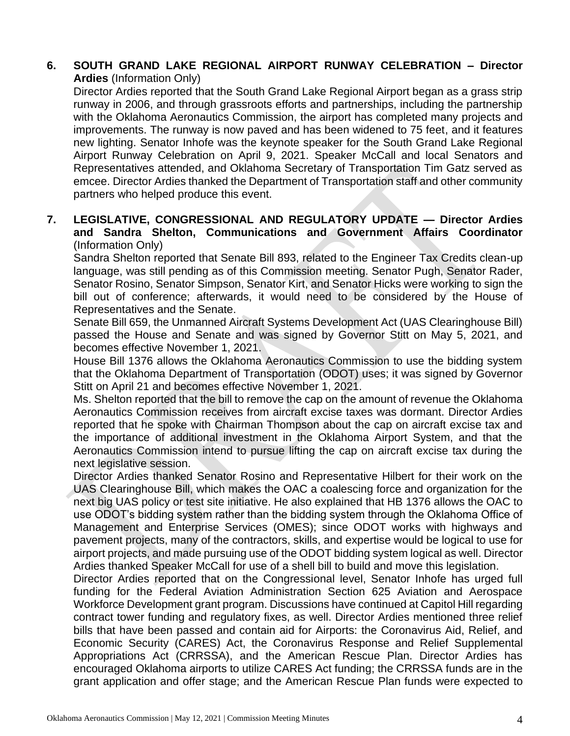#### **6. SOUTH GRAND LAKE REGIONAL AIRPORT RUNWAY CELEBRATION – Director Ardies** (Information Only)

Director Ardies reported that the South Grand Lake Regional Airport began as a grass strip runway in 2006, and through grassroots efforts and partnerships, including the partnership with the Oklahoma Aeronautics Commission, the airport has completed many projects and improvements. The runway is now paved and has been widened to 75 feet, and it features new lighting. Senator Inhofe was the keynote speaker for the South Grand Lake Regional Airport Runway Celebration on April 9, 2021. Speaker McCall and local Senators and Representatives attended, and Oklahoma Secretary of Transportation Tim Gatz served as emcee. Director Ardies thanked the Department of Transportation staff and other community partners who helped produce this event.

## **7. LEGISLATIVE, CONGRESSIONAL AND REGULATORY UPDATE — Director Ardies and Sandra Shelton, Communications and Government Affairs Coordinator** (Information Only)

Sandra Shelton reported that Senate Bill 893, related to the Engineer Tax Credits clean-up language, was still pending as of this Commission meeting. Senator Pugh, Senator Rader, Senator Rosino, Senator Simpson, Senator Kirt, and Senator Hicks were working to sign the bill out of conference; afterwards, it would need to be considered by the House of Representatives and the Senate.

Senate Bill 659, the Unmanned Aircraft Systems Development Act (UAS Clearinghouse Bill) passed the House and Senate and was signed by Governor Stitt on May 5, 2021, and becomes effective November 1, 2021.

House Bill 1376 allows the Oklahoma Aeronautics Commission to use the bidding system that the Oklahoma Department of Transportation (ODOT) uses; it was signed by Governor Stitt on April 21 and becomes effective November 1, 2021.

Ms. Shelton reported that the bill to remove the cap on the amount of revenue the Oklahoma Aeronautics Commission receives from aircraft excise taxes was dormant. Director Ardies reported that he spoke with Chairman Thompson about the cap on aircraft excise tax and the importance of additional investment in the Oklahoma Airport System, and that the Aeronautics Commission intend to pursue lifting the cap on aircraft excise tax during the next legislative session.

Director Ardies thanked Senator Rosino and Representative Hilbert for their work on the UAS Clearinghouse Bill, which makes the OAC a coalescing force and organization for the next big UAS policy or test site initiative. He also explained that HB 1376 allows the OAC to use ODOT's bidding system rather than the bidding system through the Oklahoma Office of Management and Enterprise Services (OMES); since ODOT works with highways and pavement projects, many of the contractors, skills, and expertise would be logical to use for airport projects, and made pursuing use of the ODOT bidding system logical as well. Director Ardies thanked Speaker McCall for use of a shell bill to build and move this legislation.

Director Ardies reported that on the Congressional level, Senator Inhofe has urged full funding for the Federal Aviation Administration Section 625 Aviation and Aerospace Workforce Development grant program. Discussions have continued at Capitol Hill regarding contract tower funding and regulatory fixes, as well. Director Ardies mentioned three relief bills that have been passed and contain aid for Airports: the Coronavirus Aid, Relief, and Economic Security (CARES) Act, the Coronavirus Response and Relief Supplemental Appropriations Act (CRRSSA), and the American Rescue Plan. Director Ardies has encouraged Oklahoma airports to utilize CARES Act funding; the CRRSSA funds are in the grant application and offer stage; and the American Rescue Plan funds were expected to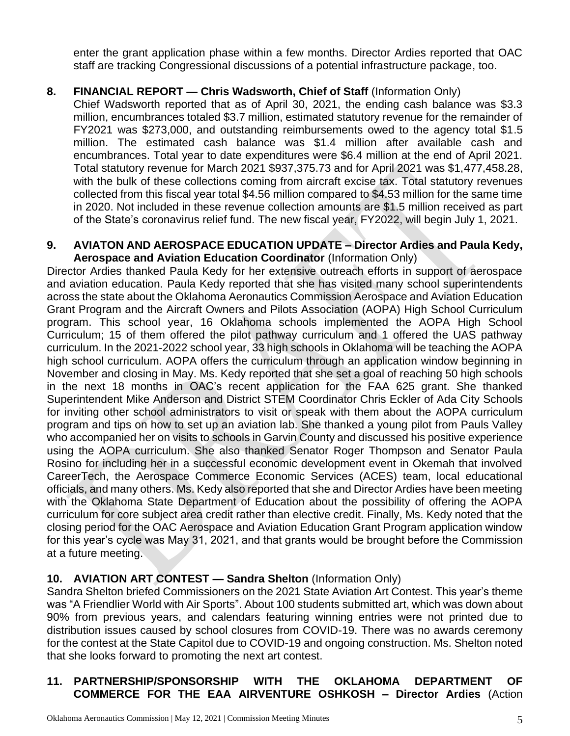enter the grant application phase within a few months. Director Ardies reported that OAC staff are tracking Congressional discussions of a potential infrastructure package, too.

# **8. FINANCIAL REPORT — Chris Wadsworth, Chief of Staff** (Information Only)

Chief Wadsworth reported that as of April 30, 2021, the ending cash balance was \$3.3 million, encumbrances totaled \$3.7 million, estimated statutory revenue for the remainder of FY2021 was \$273,000, and outstanding reimbursements owed to the agency total \$1.5 million. The estimated cash balance was \$1.4 million after available cash and encumbrances. Total year to date expenditures were \$6.4 million at the end of April 2021. Total statutory revenue for March 2021 \$937,375.73 and for April 2021 was \$1,477,458.28, with the bulk of these collections coming from aircraft excise tax. Total statutory revenues collected from this fiscal year total \$4.56 million compared to \$4.53 million for the same time in 2020. Not included in these revenue collection amounts are \$1.5 million received as part of the State's coronavirus relief fund. The new fiscal year, FY2022, will begin July 1, 2021.

#### **9. AVIATON AND AEROSPACE EDUCATION UPDATE – Director Ardies and Paula Kedy, Aerospace and Aviation Education Coordinator** (Information Only)

Director Ardies thanked Paula Kedy for her extensive outreach efforts in support of aerospace and aviation education. Paula Kedy reported that she has visited many school superintendents across the state about the Oklahoma Aeronautics Commission Aerospace and Aviation Education Grant Program and the Aircraft Owners and Pilots Association (AOPA) High School Curriculum program. This school year, 16 Oklahoma schools implemented the AOPA High School Curriculum; 15 of them offered the pilot pathway curriculum and 1 offered the UAS pathway curriculum. In the 2021-2022 school year, 33 high schools in Oklahoma will be teaching the AOPA high school curriculum. AOPA offers the curriculum through an application window beginning in November and closing in May. Ms. Kedy reported that she set a goal of reaching 50 high schools in the next 18 months in OAC's recent application for the FAA 625 grant. She thanked Superintendent Mike Anderson and District STEM Coordinator Chris Eckler of Ada City Schools for inviting other school administrators to visit or speak with them about the AOPA curriculum program and tips on how to set up an aviation lab. She thanked a young pilot from Pauls Valley who accompanied her on visits to schools in Garvin County and discussed his positive experience using the AOPA curriculum. She also thanked Senator Roger Thompson and Senator Paula Rosino for including her in a successful economic development event in Okemah that involved CareerTech, the Aerospace Commerce Economic Services (ACES) team, local educational officials, and many others. Ms. Kedy also reported that she and Director Ardies have been meeting with the Oklahoma State Department of Education about the possibility of offering the AOPA curriculum for core subject area credit rather than elective credit. Finally, Ms. Kedy noted that the closing period for the OAC Aerospace and Aviation Education Grant Program application window for this year's cycle was May 31, 2021, and that grants would be brought before the Commission at a future meeting.

# **10. AVIATION ART CONTEST — Sandra Shelton** (Information Only)

Sandra Shelton briefed Commissioners on the 2021 State Aviation Art Contest. This year's theme was "A Friendlier World with Air Sports". About 100 students submitted art, which was down about 90% from previous years, and calendars featuring winning entries were not printed due to distribution issues caused by school closures from COVID-19. There was no awards ceremony for the contest at the State Capitol due to COVID-19 and ongoing construction. Ms. Shelton noted that she looks forward to promoting the next art contest.

# **11. PARTNERSHIP/SPONSORSHIP WITH THE OKLAHOMA DEPARTMENT OF COMMERCE FOR THE EAA AIRVENTURE OSHKOSH – Director Ardies** (Action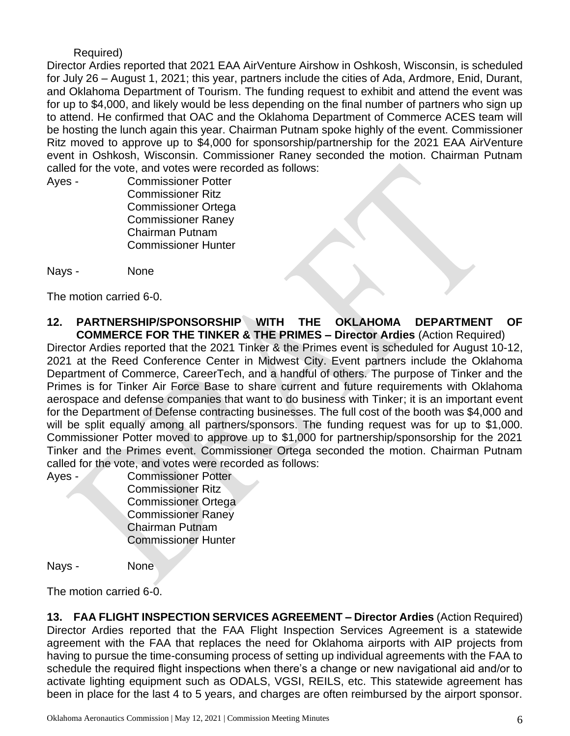#### Required)

Director Ardies reported that 2021 EAA AirVenture Airshow in Oshkosh, Wisconsin, is scheduled for July 26 – August 1, 2021; this year, partners include the cities of Ada, Ardmore, Enid, Durant, and Oklahoma Department of Tourism. The funding request to exhibit and attend the event was for up to \$4,000, and likely would be less depending on the final number of partners who sign up to attend. He confirmed that OAC and the Oklahoma Department of Commerce ACES team will be hosting the lunch again this year. Chairman Putnam spoke highly of the event. Commissioner Ritz moved to approve up to \$4,000 for sponsorship/partnership for the 2021 EAA AirVenture event in Oshkosh, Wisconsin. Commissioner Raney seconded the motion. Chairman Putnam called for the vote, and votes were recorded as follows:

Ayes - Commissioner Potter Commissioner Ritz Commissioner Ortega Commissioner Raney Chairman Putnam Commissioner Hunter

Nays - None

The motion carried 6-0.

**12. PARTNERSHIP/SPONSORSHIP WITH THE OKLAHOMA DEPARTMENT OF COMMERCE FOR THE TINKER & THE PRIMES – Director Ardies** (Action Required)

Director Ardies reported that the 2021 Tinker & the Primes event is scheduled for August 10-12, 2021 at the Reed Conference Center in Midwest City. Event partners include the Oklahoma Department of Commerce, CareerTech, and a handful of others. The purpose of Tinker and the Primes is for Tinker Air Force Base to share current and future requirements with Oklahoma aerospace and defense companies that want to do business with Tinker; it is an important event for the Department of Defense contracting businesses. The full cost of the booth was \$4,000 and will be split equally among all partners/sponsors. The funding request was for up to \$1,000. Commissioner Potter moved to approve up to \$1,000 for partnership/sponsorship for the 2021 Tinker and the Primes event. Commissioner Ortega seconded the motion. Chairman Putnam called for the vote, and votes were recorded as follows:

Ayes - Commissioner Potter Commissioner Ritz Commissioner Ortega Commissioner Raney Chairman Putnam Commissioner Hunter

Nays - None

The motion carried 6-0.

**13. FAA FLIGHT INSPECTION SERVICES AGREEMENT – Director Ardies** (Action Required) Director Ardies reported that the FAA Flight Inspection Services Agreement is a statewide agreement with the FAA that replaces the need for Oklahoma airports with AIP projects from having to pursue the time-consuming process of setting up individual agreements with the FAA to schedule the required flight inspections when there's a change or new navigational aid and/or to activate lighting equipment such as ODALS, VGSI, REILS, etc. This statewide agreement has been in place for the last 4 to 5 years, and charges are often reimbursed by the airport sponsor.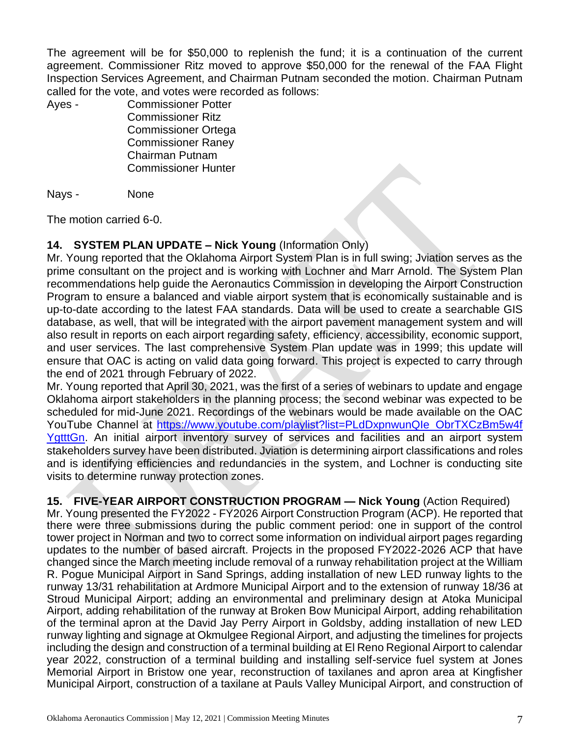The agreement will be for \$50,000 to replenish the fund; it is a continuation of the current agreement. Commissioner Ritz moved to approve \$50,000 for the renewal of the FAA Flight Inspection Services Agreement, and Chairman Putnam seconded the motion. Chairman Putnam called for the vote, and votes were recorded as follows:

Ayes - Commissioner Potter Commissioner Ritz Commissioner Ortega Commissioner Raney Chairman Putnam Commissioner Hunter

Nays - None

The motion carried 6-0.

# **14. SYSTEM PLAN UPDATE – Nick Young** (Information Only)

Mr. Young reported that the Oklahoma Airport System Plan is in full swing; Jviation serves as the prime consultant on the project and is working with Lochner and Marr Arnold. The System Plan recommendations help guide the Aeronautics Commission in developing the Airport Construction Program to ensure a balanced and viable airport system that is economically sustainable and is up-to-date according to the latest FAA standards. Data will be used to create a searchable GIS database, as well, that will be integrated with the airport pavement management system and will also result in reports on each airport regarding safety, efficiency, accessibility, economic support, and user services. The last comprehensive System Plan update was in 1999; this update will ensure that OAC is acting on valid data going forward. This project is expected to carry through the end of 2021 through February of 2022.

Mr. Young reported that April 30, 2021, was the first of a series of webinars to update and engage Oklahoma airport stakeholders in the planning process; the second webinar was expected to be scheduled for mid-June 2021. Recordings of the webinars would be made available on the OAC YouTube Channel at https://www.youtube.com/playlist?list=PLdDxpnwunQIe ObrTXCzBm5w4f [YgtttGn.](https://www.youtube.com/playlist?list=PLdDxpnwunQIe_ObrTXCzBm5w4f%20YgtttGn) An initial airport inventory survey of services and facilities and an airport system stakeholders survey have been distributed. Jviation is determining airport classifications and roles and is identifying efficiencies and redundancies in the system, and Lochner is conducting site visits to determine runway protection zones.

**15. FIVE-YEAR AIRPORT CONSTRUCTION PROGRAM — Nick Young** (Action Required) Mr. Young presented the FY2022 - FY2026 Airport Construction Program (ACP). He reported that there were three submissions during the public comment period: one in support of the control tower project in Norman and two to correct some information on individual airport pages regarding updates to the number of based aircraft. Projects in the proposed FY2022-2026 ACP that have changed since the March meeting include removal of a runway rehabilitation project at the William R. Pogue Municipal Airport in Sand Springs, adding installation of new LED runway lights to the runway 13/31 rehabilitation at Ardmore Municipal Airport and to the extension of runway 18/36 at Stroud Municipal Airport; adding an environmental and preliminary design at Atoka Municipal Airport, adding rehabilitation of the runway at Broken Bow Municipal Airport, adding rehabilitation of the terminal apron at the David Jay Perry Airport in Goldsby, adding installation of new LED runway lighting and signage at Okmulgee Regional Airport, and adjusting the timelines for projects including the design and construction of a terminal building at El Reno Regional Airport to calendar year 2022, construction of a terminal building and installing self-service fuel system at Jones Memorial Airport in Bristow one year, reconstruction of taxilanes and apron area at Kingfisher Municipal Airport, construction of a taxilane at Pauls Valley Municipal Airport, and construction of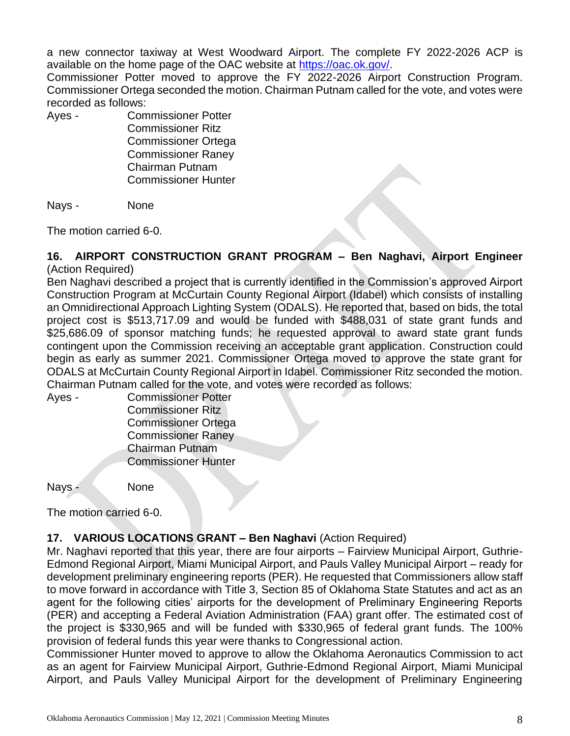a new connector taxiway at West Woodward Airport. The complete FY 2022-2026 ACP is available on the home page of the OAC website at [https://oac.ok.gov/.](https://oac.ok.gov/)

Commissioner Potter moved to approve the FY 2022-2026 Airport Construction Program. Commissioner Ortega seconded the motion. Chairman Putnam called for the vote, and votes were recorded as follows:

Ayes - Commissioner Potter

Commissioner Ritz Commissioner Ortega Commissioner Raney Chairman Putnam Commissioner Hunter

Nays - None

The motion carried 6-0.

# **16. AIRPORT CONSTRUCTION GRANT PROGRAM – Ben Naghavi, Airport Engineer**

(Action Required)

Ben Naghavi described a project that is currently identified in the Commission's approved Airport Construction Program at McCurtain County Regional Airport (Idabel) which consists of installing an Omnidirectional Approach Lighting System (ODALS). He reported that, based on bids, the total project cost is \$513,717.09 and would be funded with \$488,031 of state grant funds and \$25,686.09 of sponsor matching funds; he requested approval to award state grant funds contingent upon the Commission receiving an acceptable grant application. Construction could begin as early as summer 2021. Commissioner Ortega moved to approve the state grant for ODALS at McCurtain County Regional Airport in Idabel. Commissioner Ritz seconded the motion. Chairman Putnam called for the vote, and votes were recorded as follows:

Ayes - Commissioner Potter Commissioner Ritz Commissioner Ortega Commissioner Raney Chairman Putnam Commissioner Hunter

Nays -

| None |  |
|------|--|
|      |  |

The motion carried 6-0.

# **17. VARIOUS LOCATIONS GRANT – Ben Naghavi** (Action Required)

Mr. Naghavi reported that this year, there are four airports – Fairview Municipal Airport, Guthrie-Edmond Regional Airport, Miami Municipal Airport, and Pauls Valley Municipal Airport – ready for development preliminary engineering reports (PER). He requested that Commissioners allow staff to move forward in accordance with Title 3, Section 85 of Oklahoma State Statutes and act as an agent for the following cities' airports for the development of Preliminary Engineering Reports (PER) and accepting a Federal Aviation Administration (FAA) grant offer. The estimated cost of the project is \$330,965 and will be funded with \$330,965 of federal grant funds. The 100% provision of federal funds this year were thanks to Congressional action.

Commissioner Hunter moved to approve to allow the Oklahoma Aeronautics Commission to act as an agent for Fairview Municipal Airport, Guthrie-Edmond Regional Airport, Miami Municipal Airport, and Pauls Valley Municipal Airport for the development of Preliminary Engineering